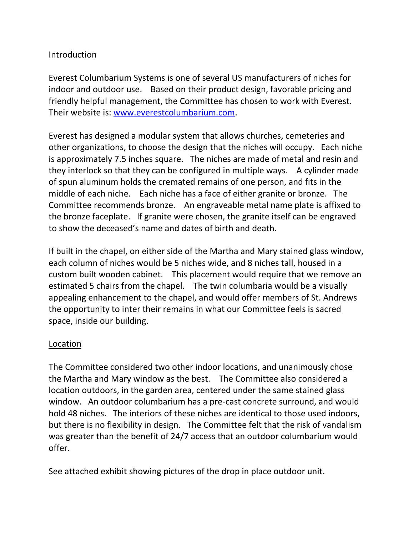## **Introduction**

Everest Columbarium Systems is one of several US manufacturers of niches for indoor and outdoor use. Based on their product design, favorable pricing and friendly helpful management, the Committee has chosen to work with Everest. Their website is: [www.everestcolumbarium.com.](http://www.everestcolumbarium.com/)

Everest has designed a modular system that allows churches, cemeteries and other organizations, to choose the design that the niches will occupy. Each niche is approximately 7.5 inches square. The niches are made of metal and resin and they interlock so that they can be configured in multiple ways. A cylinder made of spun aluminum holds the cremated remains of one person, and fits in the middle of each niche. Each niche has a face of either granite or bronze. The Committee recommends bronze. An engraveable metal name plate is affixed to the bronze faceplate. If granite were chosen, the granite itself can be engraved to show the deceased's name and dates of birth and death.

If built in the chapel, on either side of the Martha and Mary stained glass window, each column of niches would be 5 niches wide, and 8 niches tall, housed in a custom built wooden cabinet. This placement would require that we remove an estimated 5 chairs from the chapel. The twin columbaria would be a visually appealing enhancement to the chapel, and would offer members of St. Andrews the opportunity to inter their remains in what our Committee feels is sacred space, inside our building.

#### Location

The Committee considered two other indoor locations, and unanimously chose the Martha and Mary window as the best. The Committee also considered a location outdoors, in the garden area, centered under the same stained glass window. An outdoor columbarium has a pre-cast concrete surround, and would hold 48 niches. The interiors of these niches are identical to those used indoors, but there is no flexibility in design. The Committee felt that the risk of vandalism was greater than the benefit of 24/7 access that an outdoor columbarium would offer.

See attached exhibit showing pictures of the drop in place outdoor unit.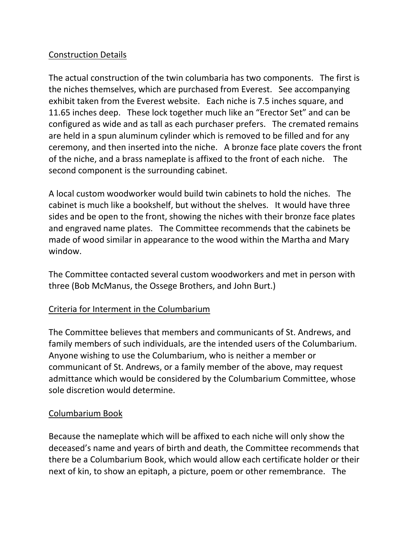# Construction Details

The actual construction of the twin columbaria has two components. The first is the niches themselves, which are purchased from Everest. See accompanying exhibit taken from the Everest website. Each niche is 7.5 inches square, and 11.65 inches deep. These lock together much like an "Erector Set" and can be configured as wide and as tall as each purchaser prefers. The cremated remains are held in a spun aluminum cylinder which is removed to be filled and for any ceremony, and then inserted into the niche. A bronze face plate covers the front of the niche, and a brass nameplate is affixed to the front of each niche. The second component is the surrounding cabinet.

A local custom woodworker would build twin cabinets to hold the niches. The cabinet is much like a bookshelf, but without the shelves. It would have three sides and be open to the front, showing the niches with their bronze face plates and engraved name plates. The Committee recommends that the cabinets be made of wood similar in appearance to the wood within the Martha and Mary window.

The Committee contacted several custom woodworkers and met in person with three (Bob McManus, the Ossege Brothers, and John Burt.)

### Criteria for Interment in the Columbarium

The Committee believes that members and communicants of St. Andrews, and family members of such individuals, are the intended users of the Columbarium. Anyone wishing to use the Columbarium, who is neither a member or communicant of St. Andrews, or a family member of the above, may request admittance which would be considered by the Columbarium Committee, whose sole discretion would determine.

### Columbarium Book

Because the nameplate which will be affixed to each niche will only show the deceased's name and years of birth and death, the Committee recommends that there be a Columbarium Book, which would allow each certificate holder or their next of kin, to show an epitaph, a picture, poem or other remembrance. The